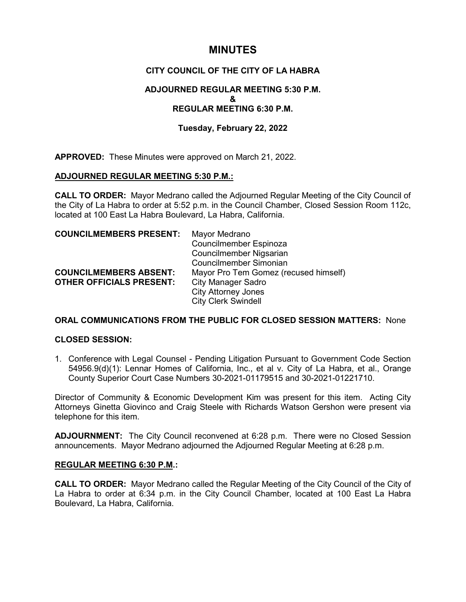# **MINUTES**

# **CITY COUNCIL OF THE CITY OF LA HABRA**

### **ADJOURNED REGULAR MEETING 5:30 P.M. & REGULAR MEETING 6:30 P.M.**

## **Tuesday, February 22, 2022**

**APPROVED:** These Minutes were approved on March 21, 2022.

### **ADJOURNED REGULAR MEETING 5:30 P.M.:**

**CALL TO ORDER:** Mayor Medrano called the Adjourned Regular Meeting of the City Council of the City of La Habra to order at 5:52 p.m. in the Council Chamber, Closed Session Room 112c, located at 100 East La Habra Boulevard, La Habra, California.

| <b>COUNCILMEMBERS PRESENT:</b>  | Mayor Medrano                         |
|---------------------------------|---------------------------------------|
|                                 | Councilmember Espinoza                |
|                                 | Councilmember Nigsarian               |
|                                 | Councilmember Simonian                |
| <b>COUNCILMEMBERS ABSENT:</b>   | Mayor Pro Tem Gomez (recused himself) |
| <b>OTHER OFFICIALS PRESENT:</b> | <b>City Manager Sadro</b>             |
|                                 | <b>City Attorney Jones</b>            |
|                                 | <b>City Clerk Swindell</b>            |

### **ORAL COMMUNICATIONS FROM THE PUBLIC FOR CLOSED SESSION MATTERS:** None

#### **CLOSED SESSION:**

1. Conference with Legal Counsel - Pending Litigation Pursuant to Government Code Section 54956.9(d)(1): Lennar Homes of California, Inc., et al v. City of La Habra, et al., Orange County Superior Court Case Numbers 30-2021-01179515 and 30-2021-01221710.

Director of Community & Economic Development Kim was present for this item. Acting City Attorneys Ginetta Giovinco and Craig Steele with Richards Watson Gershon were present via telephone for this item.

**ADJOURNMENT:** The City Council reconvened at 6:28 p.m. There were no Closed Session announcements. Mayor Medrano adjourned the Adjourned Regular Meeting at 6:28 p.m.

### **REGULAR MEETING 6:30 P.M.:**

**CALL TO ORDER:** Mayor Medrano called the Regular Meeting of the City Council of the City of La Habra to order at 6:34 p.m. in the City Council Chamber, located at 100 East La Habra Boulevard, La Habra, California.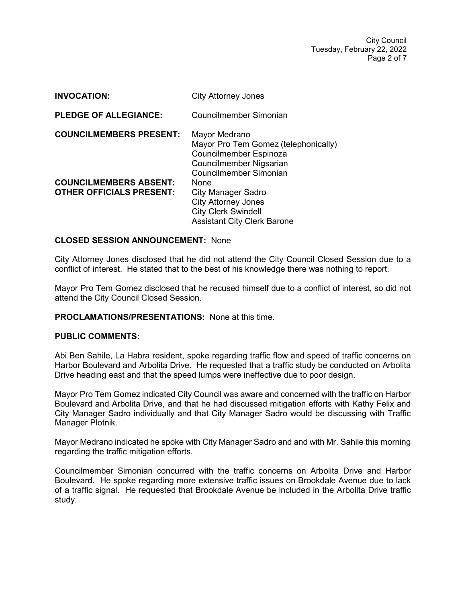City Council Tuesday, February 22, 2022 Page 2 of 7

| <b>INVOCATION:</b>                                               | <b>City Attorney Jones</b>                                                                                                           |
|------------------------------------------------------------------|--------------------------------------------------------------------------------------------------------------------------------------|
| <b>PLEDGE OF ALLEGIANCE:</b>                                     | Councilmember Simonian                                                                                                               |
| <b>COUNCILMEMBERS PRESENT:</b>                                   | Mayor Medrano<br>Mayor Pro Tem Gomez (telephonically)<br>Councilmember Espinoza<br>Councilmember Nigsarian<br>Councilmember Simonian |
| <b>COUNCILMEMBERS ABSENT:</b><br><b>OTHER OFFICIALS PRESENT:</b> | None<br><b>City Manager Sadro</b><br><b>City Attorney Jones</b><br><b>City Clerk Swindell</b><br><b>Assistant City Clerk Barone</b>  |

#### **CLOSED SESSION ANNOUNCEMENT:** None

City Attorney Jones disclosed that he did not attend the City Council Closed Session due to a conflict of interest. He stated that to the best of his knowledge there was nothing to report.

Mayor Pro Tem Gomez disclosed that he recused himself due to a conflict of interest, so did not attend the City Council Closed Session.

#### **PROCLAMATIONS/PRESENTATIONS:** None at this time.

#### **PUBLIC COMMENTS:**

Abi Ben Sahile, La Habra resident, spoke regarding traffic flow and speed of traffic concerns on Harbor Boulevard and Arbolita Drive. He requested that a traffic study be conducted on Arbolita Drive heading east and that the speed lumps were ineffective due to poor design.

Mayor Pro Tem Gomez indicated City Council was aware and concerned with the traffic on Harbor Boulevard and Arbolita Drive, and that he had discussed mitigation efforts with Kathy Felix and City Manager Sadro individually and that City Manager Sadro would be discussing with Traffic Manager Plotnik.

Mayor Medrano indicated he spoke with City Manager Sadro and and with Mr. Sahile this morning regarding the traffic mitigation efforts.

Councilmember Simonian concurred with the traffic concerns on Arbolita Drive and Harbor Boulevard. He spoke regarding more extensive traffic issues on Brookdale Avenue due to lack of a traffic signal. He requested that Brookdale Avenue be included in the Arbolita Drive traffic study.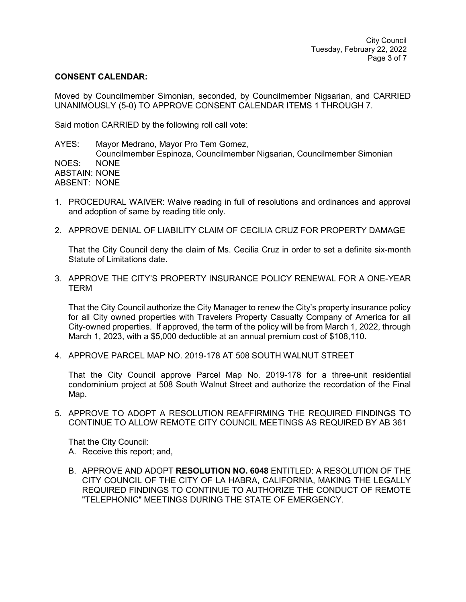#### **CONSENT CALENDAR:**

Moved by Councilmember Simonian, seconded, by Councilmember Nigsarian, and CARRIED UNANIMOUSLY (5-0) TO APPROVE CONSENT CALENDAR ITEMS 1 THROUGH 7.

Said motion CARRIED by the following roll call vote:

AYES: Mayor Medrano, Mayor Pro Tem Gomez, Councilmember Espinoza, Councilmember Nigsarian, Councilmember Simonian NOES: NONE ABSTAIN: NONE ABSENT: NONE

- 1. PROCEDURAL WAIVER: Waive reading in full of resolutions and ordinances and approval and adoption of same by reading title only.
- 2. APPROVE DENIAL OF LIABILITY CLAIM OF CECILIA CRUZ FOR PROPERTY DAMAGE

That the City Council deny the claim of Ms. Cecilia Cruz in order to set a definite six-month Statute of Limitations date.

3. APPROVE THE CITY'S PROPERTY INSURANCE POLICY RENEWAL FOR A ONE-YEAR **TERM** 

That the City Council authorize the City Manager to renew the City's property insurance policy for all City owned properties with Travelers Property Casualty Company of America for all City-owned properties. If approved, the term of the policy will be from March 1, 2022, through March 1, 2023, with a \$5,000 deductible at an annual premium cost of \$108,110.

4. APPROVE PARCEL MAP NO. 2019-178 AT 508 SOUTH WALNUT STREET

That the City Council approve Parcel Map No. 2019-178 for a three-unit residential condominium project at 508 South Walnut Street and authorize the recordation of the Final Map.

5. APPROVE TO ADOPT A RESOLUTION REAFFIRMING THE REQUIRED FINDINGS TO CONTINUE TO ALLOW REMOTE CITY COUNCIL MEETINGS AS REQUIRED BY AB 361

That the City Council:

- A. Receive this report; and,
- B. APPROVE AND ADOPT **RESOLUTION NO. 6048** ENTITLED: A RESOLUTION OF THE CITY COUNCIL OF THE CITY OF LA HABRA, CALIFORNIA, MAKING THE LEGALLY REQUIRED FINDINGS TO CONTINUE TO AUTHORIZE THE CONDUCT OF REMOTE "TELEPHONIC" MEETINGS DURING THE STATE OF EMERGENCY.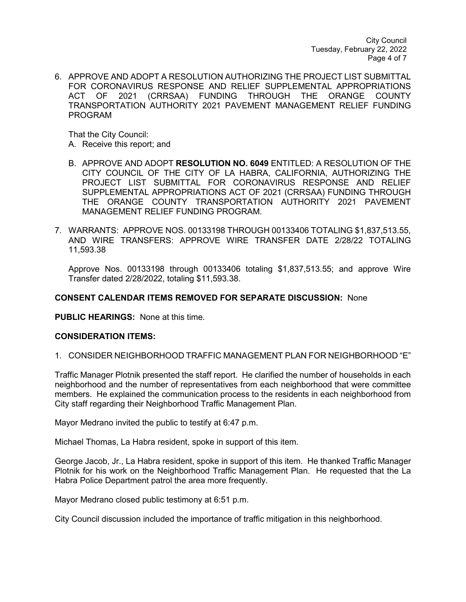City Council Tuesday, February 22, 2022 Page 4 of 7

6. APPROVE AND ADOPT A RESOLUTION AUTHORIZING THE PROJECT LIST SUBMITTAL FOR CORONAVIRUS RESPONSE AND RELIEF SUPPLEMENTAL APPROPRIATIONS ACT OF 2021 (CRRSAA) FUNDING THROUGH THE ORANGE COUNTY TRANSPORTATION AUTHORITY 2021 PAVEMENT MANAGEMENT RELIEF FUNDING PROGRAM

That the City Council:

- A. Receive this report; and
- B. APPROVE AND ADOPT **RESOLUTION NO. 6049** ENTITLED: A RESOLUTION OF THE CITY COUNCIL OF THE CITY OF LA HABRA, CALIFORNIA, AUTHORIZING THE PROJECT LIST SUBMITTAL FOR CORONAVIRUS RESPONSE AND RELIEF SUPPLEMENTAL APPROPRIATIONS ACT OF 2021 (CRRSAA) FUNDING THROUGH THE ORANGE COUNTY TRANSPORTATION AUTHORITY 2021 PAVEMENT MANAGEMENT RELIEF FUNDING PROGRAM.
- 7. WARRANTS: APPROVE NOS. 00133198 THROUGH 00133406 TOTALING \$1,837,513.55, AND WIRE TRANSFERS: APPROVE WIRE TRANSFER DATE 2/28/22 TOTALING 11,593.38

Approve Nos. 00133198 through 00133406 totaling \$1,837,513.55; and approve Wire Transfer dated 2/28/2022, totaling \$11,593.38.

### **CONSENT CALENDAR ITEMS REMOVED FOR SEPARATE DISCUSSION:** None

**PUBLIC HEARINGS:** None at this time.

### **CONSIDERATION ITEMS:**

1. CONSIDER NEIGHBORHOOD TRAFFIC MANAGEMENT PLAN FOR NEIGHBORHOOD "E"

Traffic Manager Plotnik presented the staff report. He clarified the number of households in each neighborhood and the number of representatives from each neighborhood that were committee members. He explained the communication process to the residents in each neighborhood from City staff regarding their Neighborhood Traffic Management Plan.

Mayor Medrano invited the public to testify at 6:47 p.m.

Michael Thomas, La Habra resident, spoke in support of this item.

George Jacob, Jr., La Habra resident, spoke in support of this item. He thanked Traffic Manager Plotnik for his work on the Neighborhood Traffic Management Plan. He requested that the La Habra Police Department patrol the area more frequently.

Mayor Medrano closed public testimony at 6:51 p.m.

City Council discussion included the importance of traffic mitigation in this neighborhood.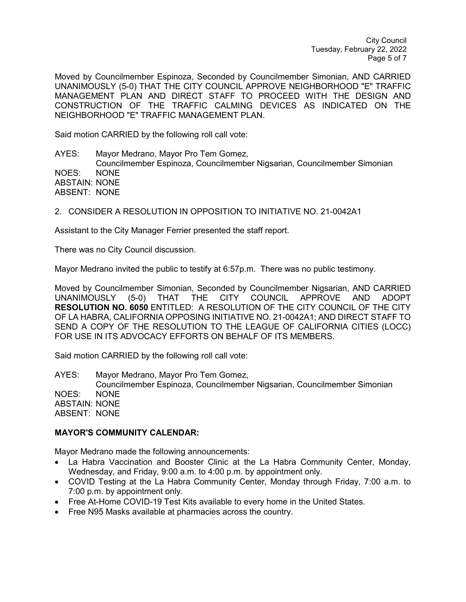City Council Tuesday, February 22, 2022 Page 5 of 7

Moved by Councilmember Espinoza, Seconded by Councilmember Simonian, AND CARRIED UNANIMOUSLY (5-0) THAT THE CITY COUNCIL APPROVE NEIGHBORHOOD "E" TRAFFIC MANAGEMENT PLAN AND DIRECT STAFF TO PROCEED WITH THE DESIGN AND CONSTRUCTION OF THE TRAFFIC CALMING DEVICES AS INDICATED ON THE NEIGHBORHOOD "E" TRAFFIC MANAGEMENT PLAN.

Said motion CARRIED by the following roll call vote:

AYES: Mayor Medrano, Mayor Pro Tem Gomez, Councilmember Espinoza, Councilmember Nigsarian, Councilmember Simonian NOES: NONE ABSTAIN: NONE ABSENT: NONE

2. CONSIDER A RESOLUTION IN OPPOSITION TO INITIATIVE NO. 21-0042A1

Assistant to the City Manager Ferrier presented the staff report.

There was no City Council discussion.

Mayor Medrano invited the public to testify at 6:57p.m. There was no public testimony.

Moved by Councilmember Simonian, Seconded by Councilmember Nigsarian, AND CARRIED UNANIMOUSLY (5-0) THAT THE CITY COUNCIL APPROVE AND ADOPT **RESOLUTION NO. 6050** ENTITLED: A RESOLUTION OF THE CITY COUNCIL OF THE CITY OF LA HABRA, CALIFORNIA OPPOSING INITIATIVE NO. 21-0042A1; AND DIRECT STAFF TO SEND A COPY OF THE RESOLUTION TO THE LEAGUE OF CALIFORNIA CITIES (LOCC) FOR USE IN ITS ADVOCACY EFFORTS ON BEHALF OF ITS MEMBERS.

Said motion CARRIED by the following roll call vote:

AYES: Mayor Medrano, Mayor Pro Tem Gomez, Councilmember Espinoza, Councilmember Nigsarian, Councilmember Simonian NOES: NONE ABSTAIN: NONE ABSENT: NONE

#### **MAYOR'S COMMUNITY CALENDAR:**

Mayor Medrano made the following announcements:

- La Habra Vaccination and Booster Clinic at the La Habra Community Center, Monday, Wednesday, and Friday, 9:00 a.m. to 4:00 p.m. by appointment only.
- COVID Testing at the La Habra Community Center, Monday through Friday, 7:00 a.m. to 7:00 p.m. by appointment only.
- Free At-Home COVID-19 Test Kits available to every home in the United States.
- Free N95 Masks available at pharmacies across the country.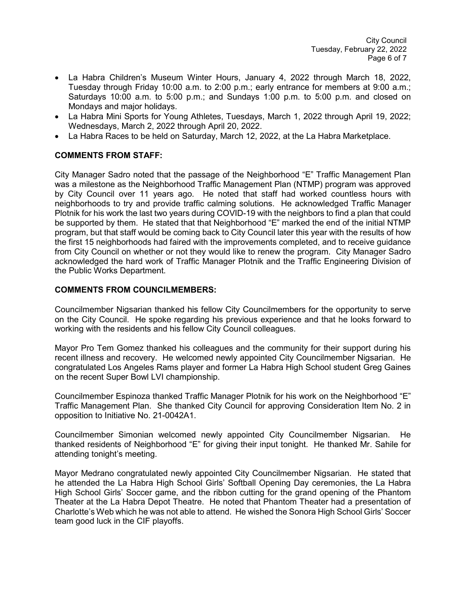- La Habra Children's Museum Winter Hours, January 4, 2022 through March 18, 2022, Tuesday through Friday 10:00 a.m. to 2:00 p.m.; early entrance for members at 9:00 a.m.; Saturdays 10:00 a.m. to 5:00 p.m.; and Sundays 1:00 p.m. to 5:00 p.m. and closed on Mondays and major holidays.
- La Habra Mini Sports for Young Athletes, Tuesdays, March 1, 2022 through April 19, 2022; Wednesdays, March 2, 2022 through April 20, 2022.
- La Habra Races to be held on Saturday, March 12, 2022, at the La Habra Marketplace.

### **COMMENTS FROM STAFF:**

City Manager Sadro noted that the passage of the Neighborhood "E" Traffic Management Plan was a milestone as the Neighborhood Traffic Management Plan (NTMP) program was approved by City Council over 11 years ago. He noted that staff had worked countless hours with neighborhoods to try and provide traffic calming solutions. He acknowledged Traffic Manager Plotnik for his work the last two years during COVID-19 with the neighbors to find a plan that could be supported by them. He stated that that Neighborhood "E" marked the end of the initial NTMP program, but that staff would be coming back to City Council later this year with the results of how the first 15 neighborhoods had faired with the improvements completed, and to receive guidance from City Council on whether or not they would like to renew the program. City Manager Sadro acknowledged the hard work of Traffic Manager Plotnik and the Traffic Engineering Division of the Public Works Department.

### **COMMENTS FROM COUNCILMEMBERS:**

Councilmember Nigsarian thanked his fellow City Councilmembers for the opportunity to serve on the City Council. He spoke regarding his previous experience and that he looks forward to working with the residents and his fellow City Council colleagues.

Mayor Pro Tem Gomez thanked his colleagues and the community for their support during his recent illness and recovery. He welcomed newly appointed City Councilmember Nigsarian. He congratulated Los Angeles Rams player and former La Habra High School student Greg Gaines on the recent Super Bowl LVI championship.

Councilmember Espinoza thanked Traffic Manager Plotnik for his work on the Neighborhood "E" Traffic Management Plan. She thanked City Council for approving Consideration Item No. 2 in opposition to Initiative No. 21-0042A1.

Councilmember Simonian welcomed newly appointed City Councilmember Nigsarian. He thanked residents of Neighborhood "E" for giving their input tonight. He thanked Mr. Sahile for attending tonight's meeting.

Mayor Medrano congratulated newly appointed City Councilmember Nigsarian. He stated that he attended the La Habra High School Girls' Softball Opening Day ceremonies, the La Habra High School Girls' Soccer game, and the ribbon cutting for the grand opening of the Phantom Theater at the La Habra Depot Theatre. He noted that Phantom Theater had a presentation of Charlotte's Web which he was not able to attend. He wished the Sonora High School Girls' Soccer team good luck in the CIF playoffs.